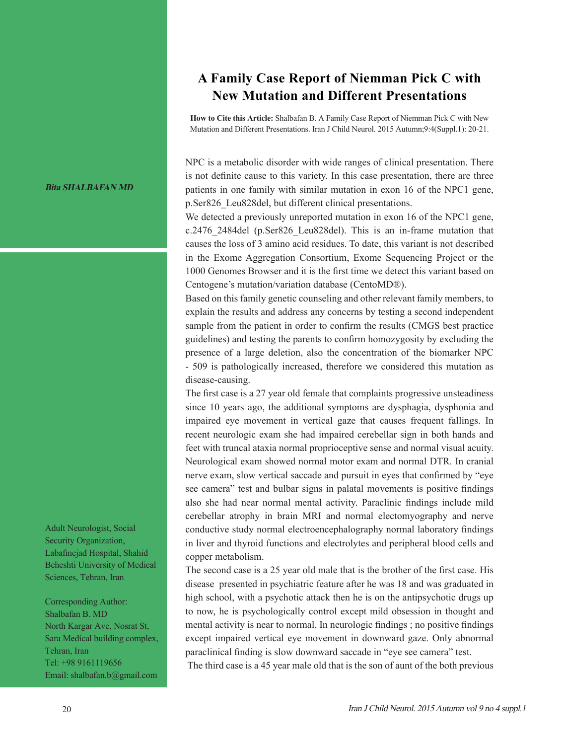**Bita SHALBAFAN MD**

Adult Neurologist, Social Security Organization, Labafinejad Hospital, Shahid Beheshti University of Medical Sciences, Tehran, Iran

Corresponding Author: Shalbafan B. MD North Kargar Ave, Nosrat St, Sara Medical building complex, Tehran, Iran Tel: +98 9161119656 Email: shalbafan.b@gmail.com

## **A Family Case Report of Niemman Pick C with New Mutation and Different Presentations**

**How to Cite this Article:** Shalbafan B. A Family Case Report of Niemman Pick C with New Mutation and Different Presentations. Iran J Child Neurol. 2015 Autumn;9:4(Suppl.1): 20-21.

NPC is a metabolic disorder with wide ranges of clinical presentation. There is not definite cause to this variety. In this case presentation, there are three patients in one family with similar mutation in exon 16 of the NPC1 gene, p.Ser826\_Leu828del, but different clinical presentations.

We detected a previously unreported mutation in exon 16 of the NPC1 gene, c.2476\_2484del (p.Ser826\_Leu828del). This is an in-frame mutation that causes the loss of 3 amino acid residues. To date, this variant is not described in the Exome Aggregation Consortium, Exome Sequencing Project or the 1000 Genomes Browser and it is the first time we detect this variant based on Centogene's mutation/variation database (CentoMD®).

Based on this family genetic counseling and other relevant family members, to explain the results and address any concerns by testing a second independent sample from the patient in order to confirm the results (CMGS best practice guidelines) and testing the parents to confirm homozygosity by excluding the presence of a large deletion, also the concentration of the biomarker NPC - 509 is pathologically increased, therefore we considered this mutation as disease-causing.

The first case is a 27 year old female that complaints progressive unsteadiness since 10 years ago, the additional symptoms are dysphagia, dysphonia and impaired eye movement in vertical gaze that causes frequent fallings. In recent neurologic exam she had impaired cerebellar sign in both hands and feet with truncal ataxia normal proprioceptive sense and normal visual acuity. Neurological exam showed normal motor exam and normal DTR. In cranial nerve exam, slow vertical saccade and pursuit in eyes that confirmed by "eye see camera" test and bulbar signs in palatal movements is positive findings also she had near normal mental activity. Paraclinic findings include mild cerebellar atrophy in brain MRI and normal electomyography and nerve conductive study normal electroencephalography normal laboratory findings in liver and thyroid functions and electrolytes and peripheral blood cells and copper metabolism.

The second case is a 25 year old male that is the brother of the first case. His disease presented in psychiatric feature after he was 18 and was graduated in high school, with a psychotic attack then he is on the antipsychotic drugs up to now, he is psychologically control except mild obsession in thought and mental activity is near to normal. In neurologic findings ; no positive findings except impaired vertical eye movement in downward gaze. Only abnormal paraclinical finding is slow downward saccade in "eye see camera" test.

The third case is a 45 year male old that is the son of aunt of the both previous